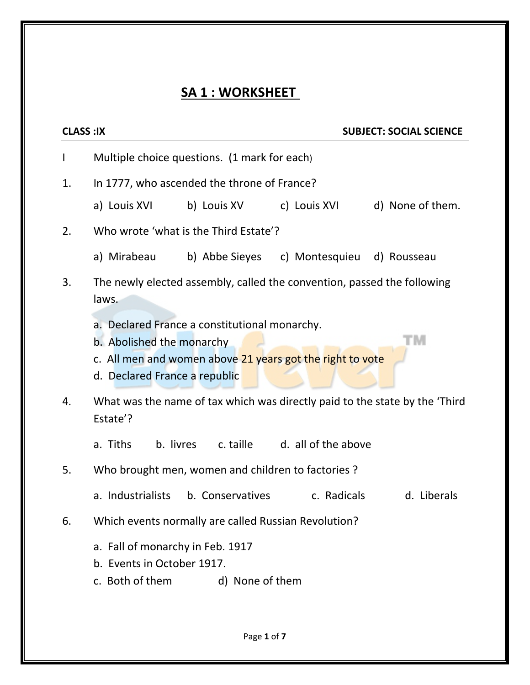## **SA 1 : WORKSHEET**

| <b>CLASS:IX</b><br><b>SUBJECT: SOCIAL SCIENCE</b> |                                                                                   |                                               |                                                           |                                                                              |  |
|---------------------------------------------------|-----------------------------------------------------------------------------------|-----------------------------------------------|-----------------------------------------------------------|------------------------------------------------------------------------------|--|
| $\mathsf{l}$                                      | Multiple choice questions. (1 mark for each)                                      |                                               |                                                           |                                                                              |  |
| 1.                                                | In 1777, who ascended the throne of France?                                       |                                               |                                                           |                                                                              |  |
|                                                   | a) Louis XVI                                                                      |                                               |                                                           | d) None of them.                                                             |  |
| 2.                                                | Who wrote 'what is the Third Estate'?                                             |                                               |                                                           |                                                                              |  |
|                                                   |                                                                                   |                                               | a) Mirabeau b) Abbe Sieyes c) Montesquieu d) Rousseau     |                                                                              |  |
| 3.                                                | The newly elected assembly, called the convention, passed the following<br>laws.  |                                               |                                                           |                                                                              |  |
|                                                   | b. Abolished the monarchy<br>d. Declared France a republic                        | a. Declared France a constitutional monarchy. | c. All men and women above 21 years got the right to vote | M                                                                            |  |
| 4.                                                | Estate'?                                                                          |                                               |                                                           | What was the name of tax which was directly paid to the state by the 'Third' |  |
|                                                   | a. Tiths                                                                          |                                               | b. livres c. taille d. all of the above                   |                                                                              |  |
| 5.                                                | Who brought men, women and children to factories ?                                |                                               |                                                           |                                                                              |  |
|                                                   |                                                                                   | a. Industrialists b. Conservatives            | c. Radicals                                               | d. Liberals                                                                  |  |
| 6.                                                | Which events normally are called Russian Revolution?                              |                                               |                                                           |                                                                              |  |
|                                                   | a. Fall of monarchy in Feb. 1917<br>b. Events in October 1917.<br>c. Both of them | d) None of them                               |                                                           |                                                                              |  |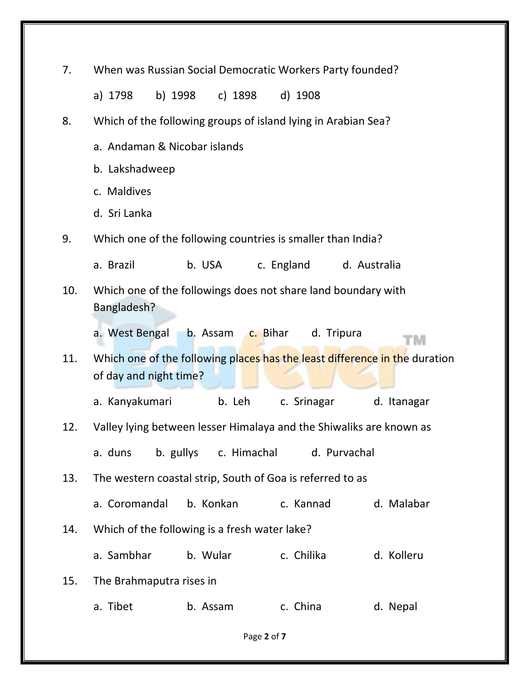| 7.          | When was Russian Social Democratic Workers Party founded?                                            |                                                           |                         |             |  |
|-------------|------------------------------------------------------------------------------------------------------|-----------------------------------------------------------|-------------------------|-------------|--|
|             | a) 1798                                                                                              | b) 1998 c) 1898                                           | d) 1908                 |             |  |
| 8.          | Which of the following groups of island lying in Arabian Sea?                                        |                                                           |                         |             |  |
|             | a. Andaman & Nicobar islands                                                                         |                                                           |                         |             |  |
|             | b. Lakshadweep                                                                                       |                                                           |                         |             |  |
|             | c. Maldives                                                                                          |                                                           |                         |             |  |
|             | d. Sri Lanka                                                                                         |                                                           |                         |             |  |
| 9.          | Which one of the following countries is smaller than India?                                          |                                                           |                         |             |  |
|             | a. Brazil                                                                                            | b. USA                                                    | c. England d. Australia |             |  |
| 10.         | Which one of the followings does not share land boundary with<br>Bangladesh?                         |                                                           |                         |             |  |
|             | a. West Bengal                                                                                       | b. Assam c. Bihar                                         | d. Tripura              | тм          |  |
| 11.         | Which one of the following places has the least difference in the duration<br>of day and night time? |                                                           |                         |             |  |
|             | a. Kanyakumari                                                                                       | b. Leh                                                    | c. Srinagar             | d. Itanagar |  |
| 12.         | Valley lying between lesser Himalaya and the Shiwaliks are known as                                  |                                                           |                         |             |  |
|             | a. duns                                                                                              | b. gullys c. Himachal                                     | d. Purvachal            |             |  |
| 13.         |                                                                                                      | The western coastal strip, South of Goa is referred to as |                         |             |  |
|             | a. Coromandal                                                                                        | b. Konkan                                                 | c. Kannad               | d. Malabar  |  |
| 14.         |                                                                                                      | Which of the following is a fresh water lake?             |                         |             |  |
|             | a. Sambhar                                                                                           | b. Wular                                                  | c. Chilika              | d. Kolleru  |  |
| 15.         | The Brahmaputra rises in                                                                             |                                                           |                         |             |  |
|             | a. Tibet                                                                                             | b. Assam                                                  | c. China                | d. Nepal    |  |
| Page 2 of 7 |                                                                                                      |                                                           |                         |             |  |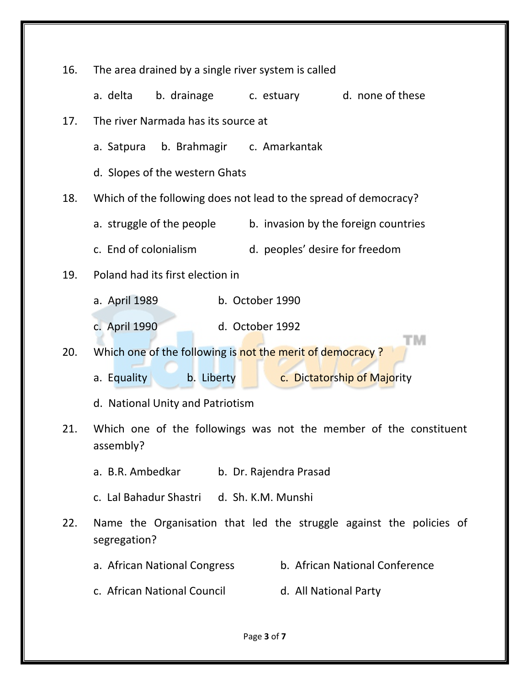| 16.                                                                                   | The area drained by a single river system is called            |                                                                     |  |  |  |  |
|---------------------------------------------------------------------------------------|----------------------------------------------------------------|---------------------------------------------------------------------|--|--|--|--|
|                                                                                       | b. drainage<br>a. delta                                        | d. none of these<br>c. estuary                                      |  |  |  |  |
| 17.                                                                                   | The river Narmada has its source at                            |                                                                     |  |  |  |  |
|                                                                                       | b. Brahmagir c. Amarkantak<br>a. Satpura                       |                                                                     |  |  |  |  |
|                                                                                       | d. Slopes of the western Ghats                                 |                                                                     |  |  |  |  |
| 18.                                                                                   |                                                                | Which of the following does not lead to the spread of democracy?    |  |  |  |  |
|                                                                                       | a. struggle of the people                                      | b. invasion by the foreign countries                                |  |  |  |  |
|                                                                                       | c. End of colonialism                                          | d. peoples' desire for freedom                                      |  |  |  |  |
| 19.                                                                                   | Poland had its first election in                               |                                                                     |  |  |  |  |
|                                                                                       | a. April 1989                                                  | b. October 1990                                                     |  |  |  |  |
|                                                                                       | d. October 1992<br>c. April 1990                               |                                                                     |  |  |  |  |
| 20.                                                                                   | M<br>Which one of the following is not the merit of democracy? |                                                                     |  |  |  |  |
|                                                                                       | a. Equality<br>b. Liberty                                      | c. Dictatorship of Majority                                         |  |  |  |  |
|                                                                                       | d. National Unity and Patriotism                               |                                                                     |  |  |  |  |
| Which one of the followings was not the member of the constituent<br>21.<br>assembly? |                                                                |                                                                     |  |  |  |  |
|                                                                                       | a. B.R. Ambedkar                                               | b. Dr. Rajendra Prasad                                              |  |  |  |  |
|                                                                                       | c. Lal Bahadur Shastri d. Sh. K.M. Munshi                      |                                                                     |  |  |  |  |
| 22.                                                                                   | segregation?                                                   | Name the Organisation that led the struggle against the policies of |  |  |  |  |
|                                                                                       | a. African National Congress                                   | b. African National Conference                                      |  |  |  |  |
|                                                                                       | c. African National Council                                    | d. All National Party                                               |  |  |  |  |
|                                                                                       |                                                                |                                                                     |  |  |  |  |

Page **3** of **7**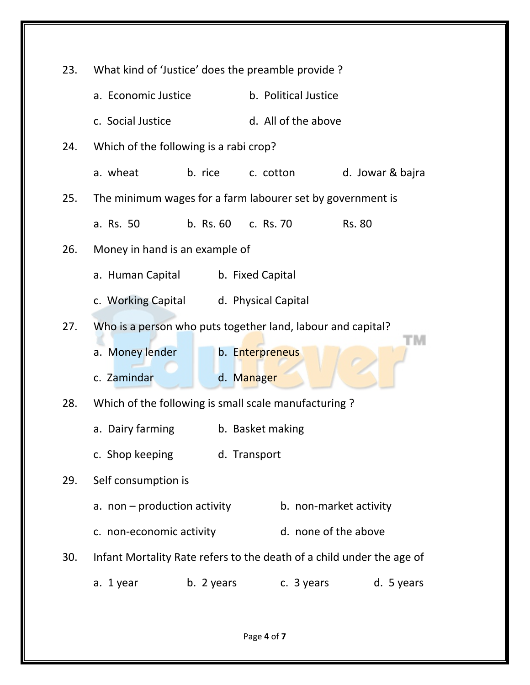| 23. | What kind of 'Justice' does the preamble provide?           |            |                      |                                                                       |  |
|-----|-------------------------------------------------------------|------------|----------------------|-----------------------------------------------------------------------|--|
|     | a. Economic Justice                                         |            | b. Political Justice |                                                                       |  |
|     | c. Social Justice                                           |            | d. All of the above  |                                                                       |  |
| 24. | Which of the following is a rabi crop?                      |            |                      |                                                                       |  |
|     | a. wheat                                                    |            | b. rice c. cotton    | d. Jowar & bajra                                                      |  |
| 25. | The minimum wages for a farm labourer set by government is  |            |                      |                                                                       |  |
|     | a. Rs. 50                                                   |            | b. Rs. 60 c. Rs. 70  | <b>Rs. 80</b>                                                         |  |
| 26. | Money in hand is an example of                              |            |                      |                                                                       |  |
|     | a. Human Capital<br>b. Fixed Capital                        |            |                      |                                                                       |  |
|     | c. Working Capital d. Physical Capital                      |            |                      |                                                                       |  |
| 27. | Who is a person who puts together land, labour and capital? |            |                      |                                                                       |  |
|     | a. Money lender                                             |            | b. Enterpreneus      |                                                                       |  |
|     | c. Zamindar                                                 |            | d. Manager           |                                                                       |  |
| 28. | Which of the following is small scale manufacturing?        |            |                      |                                                                       |  |
|     | a. Dairy farming                                            |            | b. Basket making     |                                                                       |  |
|     | c. Shop keeping                                             |            | d. Transport         |                                                                       |  |
| 29. | Self consumption is                                         |            |                      |                                                                       |  |
|     | a. non - production activity                                |            |                      | b. non-market activity                                                |  |
|     | c. non-economic activity                                    |            |                      | d. none of the above                                                  |  |
| 30. |                                                             |            |                      | Infant Mortality Rate refers to the death of a child under the age of |  |
|     | a. 1 year                                                   | b. 2 years | c. 3 years           | d. 5 years                                                            |  |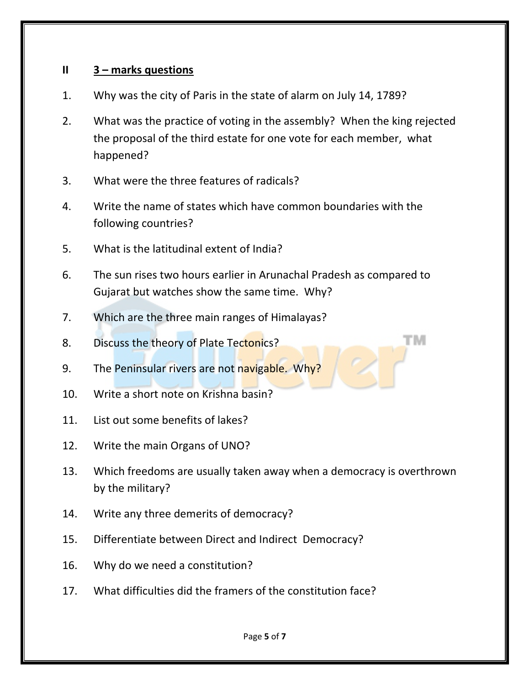## **II 3 – marks questions**

- 1. Why was the city of Paris in the state of alarm on July 14, 1789?
- 2. What was the practice of voting in the assembly? When the king rejected the proposal of the third estate for one vote for each member, what happened?
- 3. What were the three features of radicals?
- 4. Write the name of states which have common boundaries with the following countries?
- 5. What is the latitudinal extent of India?
- 6. The sun rises two hours earlier in Arunachal Pradesh as compared to Gujarat but watches show the same time. Why?

TМ

- 7. Which are the three main ranges of Himalayas?
- 8. Discuss the theory of Plate Tectonics?
- 9. The Peninsular rivers are not navigable. Why?
- 10. Write a short note on Krishna basin?
- 11. List out some benefits of lakes?
- 12. Write the main Organs of UNO?
- 13. Which freedoms are usually taken away when a democracy is overthrown by the military?
- 14. Write any three demerits of democracy?
- 15. Differentiate between Direct and Indirect Democracy?
- 16. Why do we need a constitution?
- 17. What difficulties did the framers of the constitution face?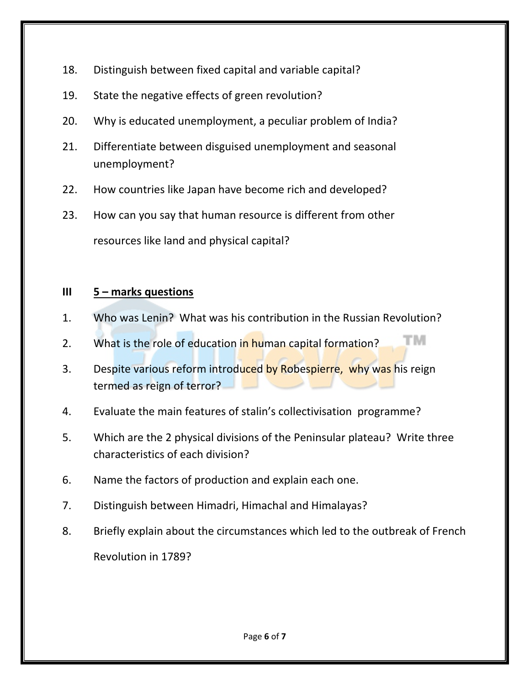- 18. Distinguish between fixed capital and variable capital?
- 19. State the negative effects of green revolution?
- 20. Why is educated unemployment, a peculiar problem of India?
- 21. Differentiate between disguised unemployment and seasonal unemployment?
- 22. How countries like Japan have become rich and developed?
- 23. How can you say that human resource is different from other resources like land and physical capital?

## **III 5 – marks questions**

- 1. Who was Lenin? What was his contribution in the Russian Revolution?
- TM. 2. What is the role of education in human capital formation?
- 3. Despite various reform introduced by Robespierre, why was his reign termed as reign of terror?
- 4. Evaluate the main features of stalin's collectivisation programme?
- 5. Which are the 2 physical divisions of the Peninsular plateau? Write three characteristics of each division?
- 6. Name the factors of production and explain each one.
- 7. Distinguish between Himadri, Himachal and Himalayas?
- 8. Briefly explain about the circumstances which led to the outbreak of French Revolution in 1789?